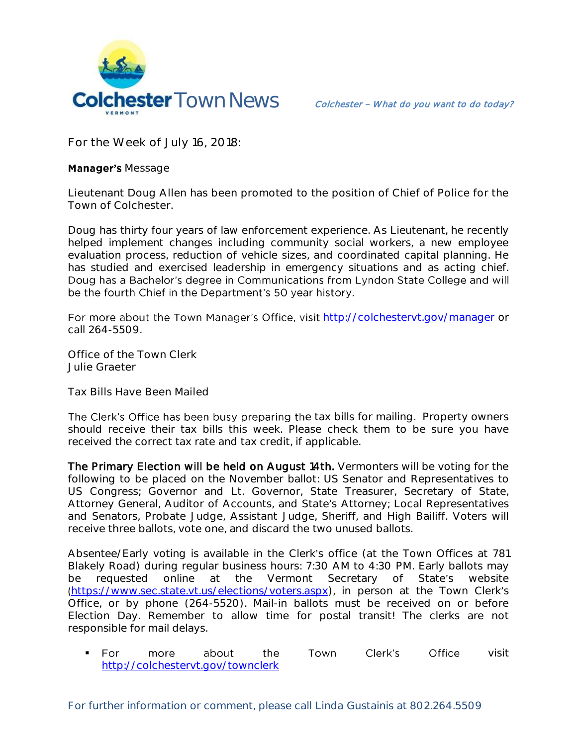

**For the Week of July 16, 2018:** 

## **Manager's Message**

**Lieutenant Doug Allen has been promoted to the position of Chief of Police for the Town of Colchester.** 

Doug has thirty four years of law enforcement experience. As Lieutenant, he recently helped implement changes including community social workers, a new employee evaluation process, reduction of vehicle sizes, and coordinated capital planning. He has studied and exercised leadership in emergency situations and as acting chief. Doug has a Bachelor's degree in Communications from Lyndon State College and will be the fourth Chief in the Department's 50 year history.

For more about the Town Manager's Office, visit <http://colchestervt.gov/manager> or call 264-5509.

**Office of the Town Clerk Julie Graeter**

**Tax Bills Have Been Mailed**

The Clerk's Office has been busy preparing the tax bills for mailing. Property owners should receive their tax bills this week. Please check them to be sure you have received the correct tax rate and tax credit, if applicable.

The Primary Election will be held on August 14th. Vermonters will be voting for the following to be placed on the November ballot: US Senator and Representatives to US Congress; Governor and Lt. Governor, State Treasurer, Secretary of State, Attorney General, Auditor of Accounts, and State's Attorney; Local Representatives and Senators, Probate Judge, Assistant Judge, Sheriff, and High Bailiff. Voters will receive three ballots, vote one, and discard the two unused ballots.

Absentee/Early voting is available in the Clerk's office (at the Town Offices at 781 Blakely Road) during regular business hours: 7:30 AM to 4:30 PM. Early ballots may be requested online at the Vermont Secretary of State's website ([https://www.sec.state.vt.us/elections/voters.aspx\)](https://www.sec.state.vt.us/elections/voters.aspx), in person at the Town Clerk's Office, or by phone (264-5520). Mail-in ballots must be received on or before Election Day. Remember to allow time for postal transit! The clerks are not responsible for mail delays.

For more about the Town Clerk's Office visit <http://colchestervt.gov/townclerk>